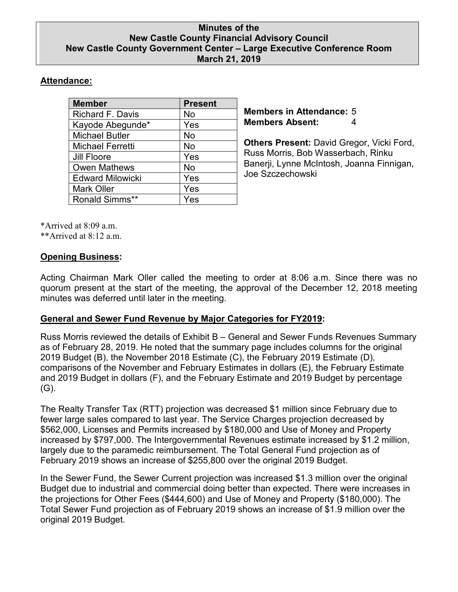### **Minutes of the New Castle County Financial Advisory Council New Castle County Government Center – Large Executive Conference Room March 21, 2019**

# **Attendance:**

| <b>Member</b>           | <b>Present</b> |
|-------------------------|----------------|
| <b>Richard F. Davis</b> | No             |
| Kayode Abegunde*        | Yes            |
| <b>Michael Butler</b>   | <b>No</b>      |
| Michael Ferretti        | <b>No</b>      |
| Jill Floore             | Yes            |
| <b>Owen Mathews</b>     | <b>No</b>      |
| <b>Edward Milowicki</b> | Yes            |
| <b>Mark Oller</b>       | Yes            |
| <b>Ronald Simms**</b>   | Yes            |

**Members in Attendance:** 5 **Members Absent:** 4

**Others Present:** David Gregor, Vicki Ford, Russ Morris, Bob Wasserbach, Rinku Banerji, Lynne McIntosh, Joanna Finnigan, Joe Szczechowski

\*Arrived at 8:09 a.m.

\*\*Arrived at  $8.12$  a.m.

## **Opening Business:**

Acting Chairman Mark Oller called the meeting to order at 8:06 a.m. Since there was no quorum present at the start of the meeting, the approval of the December 12, 2018 meeting minutes was deferred until later in the meeting.

# **General and Sewer Fund Revenue by Major Categories for FY2019:**

Russ Morris reviewed the details of Exhibit B – General and Sewer Funds Revenues Summary as of February 28, 2019. He noted that the summary page includes columns for the original 2019 Budget (B), the November 2018 Estimate (C), the February 2019 Estimate (D), comparisons of the November and February Estimates in dollars (E), the February Estimate and 2019 Budget in dollars (F), and the February Estimate and 2019 Budget by percentage  $(G)$ .

The Realty Transfer Tax (RTT) projection was decreased \$1 million since February due to fewer large sales compared to last year. The Service Charges projection decreased by \$562,000, Licenses and Permits increased by \$180,000 and Use of Money and Property increased by \$797,000. The Intergovernmental Revenues estimate increased by \$1.2 million, largely due to the paramedic reimbursement. The Total General Fund projection as of February 2019 shows an increase of \$255,800 over the original 2019 Budget.

In the Sewer Fund, the Sewer Current projection was increased \$1.3 million over the original Budget due to industrial and commercial doing better than expected. There were increases in the projections for Other Fees (\$444,600) and Use of Money and Property (\$180,000). The Total Sewer Fund projection as of February 2019 shows an increase of \$1.9 million over the original 2019 Budget.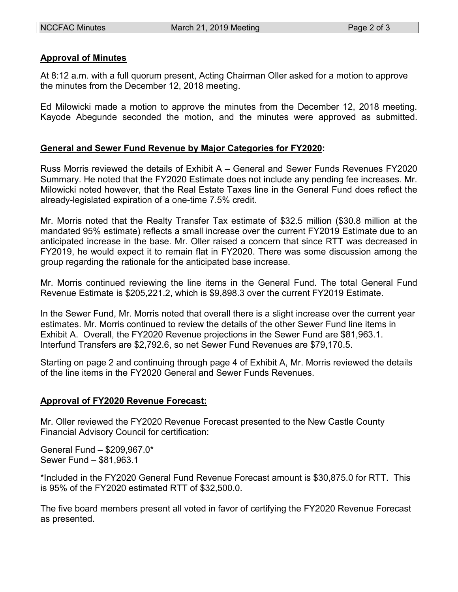#### **Approval of Minutes**

At 8:12 a.m. with a full quorum present, Acting Chairman Oller asked for a motion to approve the minutes from the December 12, 2018 meeting.

Ed Milowicki made a motion to approve the minutes from the December 12, 2018 meeting. Kayode Abegunde seconded the motion, and the minutes were approved as submitted.

### **General and Sewer Fund Revenue by Major Categories for FY2020:**

Russ Morris reviewed the details of Exhibit A – General and Sewer Funds Revenues FY2020 Summary. He noted that the FY2020 Estimate does not include any pending fee increases. Mr. Milowicki noted however, that the Real Estate Taxes line in the General Fund does reflect the already-legislated expiration of a one-time 7.5% credit.

Mr. Morris noted that the Realty Transfer Tax estimate of \$32.5 million (\$30.8 million at the mandated 95% estimate) reflects a small increase over the current FY2019 Estimate due to an anticipated increase in the base. Mr. Oller raised a concern that since RTT was decreased in FY2019, he would expect it to remain flat in FY2020. There was some discussion among the group regarding the rationale for the anticipated base increase.

Mr. Morris continued reviewing the line items in the General Fund. The total General Fund Revenue Estimate is \$205,221.2, which is \$9,898.3 over the current FY2019 Estimate.

In the Sewer Fund, Mr. Morris noted that overall there is a slight increase over the current year estimates. Mr. Morris continued to review the details of the other Sewer Fund line items in Exhibit A. Overall, the FY2020 Revenue projections in the Sewer Fund are \$81,963.1. Interfund Transfers are \$2,792.6, so net Sewer Fund Revenues are \$79,170.5.

Starting on page 2 and continuing through page 4 of Exhibit A, Mr. Morris reviewed the details of the line items in the FY2020 General and Sewer Funds Revenues.

### **Approval of FY2020 Revenue Forecast:**

Mr. Oller reviewed the FY2020 Revenue Forecast presented to the New Castle County Financial Advisory Council for certification:

General Fund – \$209,967.0\* Sewer Fund – \$81,963.1

\*Included in the FY2020 General Fund Revenue Forecast amount is \$30,875.0 for RTT. This is 95% of the FY2020 estimated RTT of \$32,500.0.

The five board members present all voted in favor of certifying the FY2020 Revenue Forecast as presented.